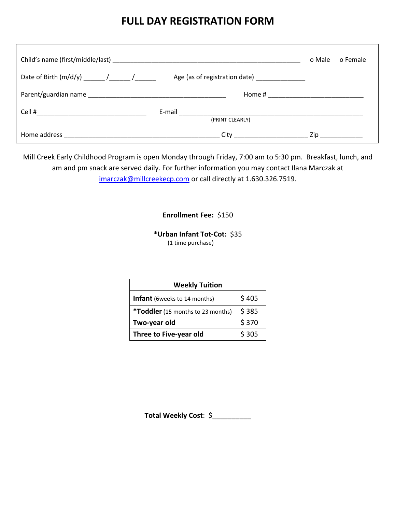## **FULL DAY REGISTRATION FORM**

|                                                    |                                   | o Male | o Female                                                                                                      |
|----------------------------------------------------|-----------------------------------|--------|---------------------------------------------------------------------------------------------------------------|
| Date of Birth $(m/d/y)$ ________ /_______ /_______ | Age (as of registration date)     |        |                                                                                                               |
|                                                    |                                   |        |                                                                                                               |
|                                                    | (PRINT CLEARLY)                   |        |                                                                                                               |
|                                                    | City <b>Called Structure City</b> |        | Zip in the set of the set of the set of the set of the set of the set of the set of the set of the set of the |

Mill Creek Early Childhood Program is open Monday through Friday, 7:00 am to 5:30 pm. Breakfast, lunch, and am and pm snack are served daily. For further information you may contact Ilana Marczak at [imarczak@millcreekecp.com](mailto:imarczak@millcreekecp.com) or call directly at 1.630.326.7519.

## **Enrollment Fee:** \$150

**\*Urban Infant Tot-Cot:** \$35 (1 time purchase)

| <b>Weekly Tuition</b>               |       |  |  |
|-------------------------------------|-------|--|--|
| <b>Infant</b> (6weeks to 14 months) | \$405 |  |  |
| *Toddler (15 months to 23 months)   | \$385 |  |  |
| Two-year old                        | \$370 |  |  |
| Three to Five-year old              | \$305 |  |  |

**Total Weekly Cost**: \$\_\_\_\_\_\_\_\_\_\_